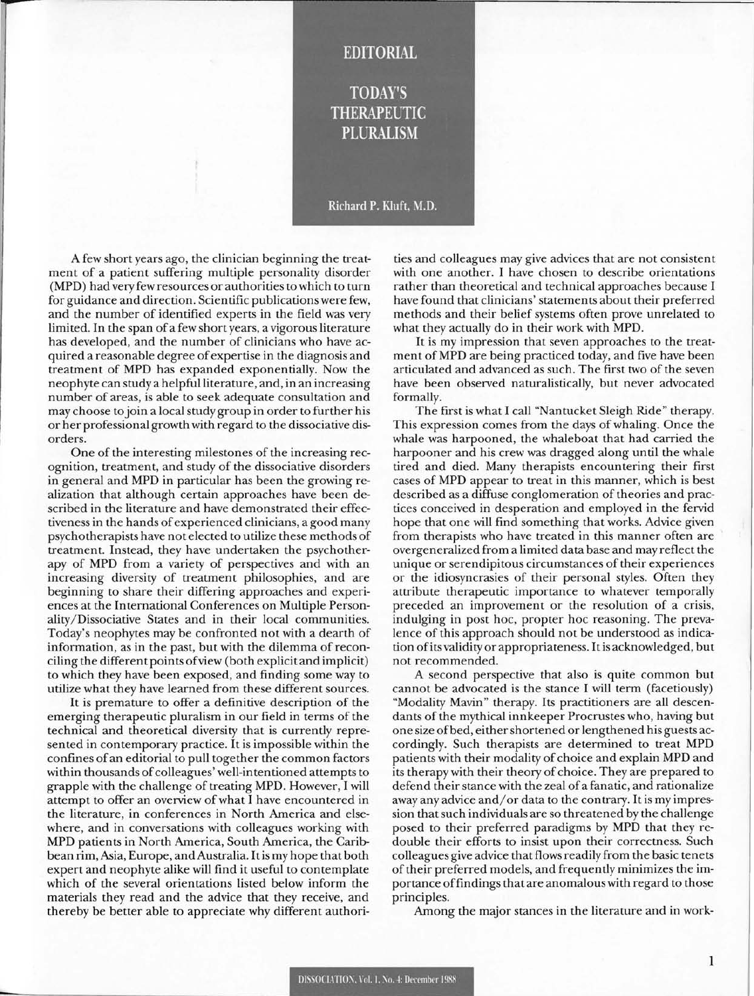## **EDITORIAL**

**TODAY'S THERAPEUTIC PLURALISM** 

## Richard P. Kluft, M.D.

A few short years ago, the clinician beginning the treatment of a patient suffering multiple personality disorder (MPD) had very few resources or authorities to which to turn for guidance and direction. Scientific publications were few, and the number of identified experts in the field was very limited. In the span of a few short years, a vigorous literature has developed, and the number of clinicians who have acquired a reasonable degree of expertise in the diagnosis and treatment of MPD has expanded exponentially. Now the neophyte can study a helpful literature, and, in an increasing number of areas, is able to seek adequate consultation and may choose to join a local study group in order to further his or her professional growth with regard to the dissociative disorders.

r

One of the interesting milestones of the increasing recognition, treatment, and study of the dissociative disorders in general and MPD in particular has been the growing realization that although certain approaches have been described in the literature and have demonstrated their effectiveness in the hands of experienced clinicians, a good many psychotherapists have not elected to utilize these methods of treatment. Instead, they have undertaken the psychotherapy of MPD from a variety of perspectives and with an increasing diversity of treatment philosophies, and are beginning to share their differing approaches and experiences at the International Conferences on Multiple Personality/ Dissociative States and in their local communities. Today's neophytes may be confronted not with a dearth of information, as in the past, but with the dilemma of reconciling the different points of view (both explicit and implicit) to which they have been exposed, and finding some way to utilize what they have learned from these different sources.

It is premature to offer a definitive description of the emerging therapeutic pluralism in our field in terms of the technical and theoretical diversity that is currently represented in contemporary practice. It is impossible within the confines of an editorial to pull together the common factors within thousands of colleagues' well-intentioned attempts to grapple with the challenge of treating MPD. However, I will attempt to offer an overview of what I have encountered in the literature, in conferences in North America and elsewhere, and in conversations with colleagues working with MPD patients in North America, South America, the Caribbean rim, Asia, Europe, and Australia. It is my hope that both expert and neophyte alike will find it useful to contemplate which of the several orientations listed below inform the materials they read and the advice that they receive, and thereby be better able to appreciate why different authori-

ties and colleagues may give advices that are not consistent with one another. I have chosen to describe orientations rather than theoretical and technical approaches because I have found that clinicians' statements about their preferred methods and their belief systems often prove unrelated to what they actually do in their work with MPD.

It is my impression that seven approaches to the treatment of MPD are being practiced today, and five have been articulated and advanced as such. The first two of the seven have been observed naturalistically, but never advocated formally.

The first is what I call "Nantucket Sleigh Ride" therapy. This expression comes from the days of whaling. Once the whale was harpooned, the whaleboat that had carried the harpooner and his crew was dragged along until the whale tired and died. Many therapists encountering their first cases of MPD appear to treat in this manner, which is best described as a diffuse conglomeration of theories and practices conceived in desperation and employed in the fervid hope that one will find something that works. Advice given from therapists who have treated in this manner often are overgeneralized from a limited data base and may reflect the unique or serendipitous circumstances of their experiences or the idiosyncrasies of their personal styles. Often they attribute therapeutic importance to whatever temporally preceded an improvement or the resolution of a crisis, indulging in post hoc, propter hoc reasoning. The prevalence of this approach should not be understood as indication of its validity or appropriateness. It is acknowledged, but not recommended.

A second perspective that also is quite common but cannot be advocated is the stance I will term (facetiously) "Modality Mavin" therapy. Its practitioners are all descendants of the mythical innkeeper Procrustes who, having but one size of bed, either shortened or lengthened his guests accordingly. Such therapists are determined to treat MPD patients with their modality of choice and explain MPD and its therapy with their theory of choice. They are prepared to defend their stance with the zeal of a fanatic , and rationalize away any advice and/ or data to the contrary. It is my impression that such individuals are so threatened by the challenge posed to their preferred paradigms by MPD that they redouble their efforts to insist upon their correctness. Such colleagues give advice that flows readily from the basic tenets of their preferred models, and frequently minimizes the importance offindings that are anomalous with regard to those principles.

Among the major stances in the literature and in work-